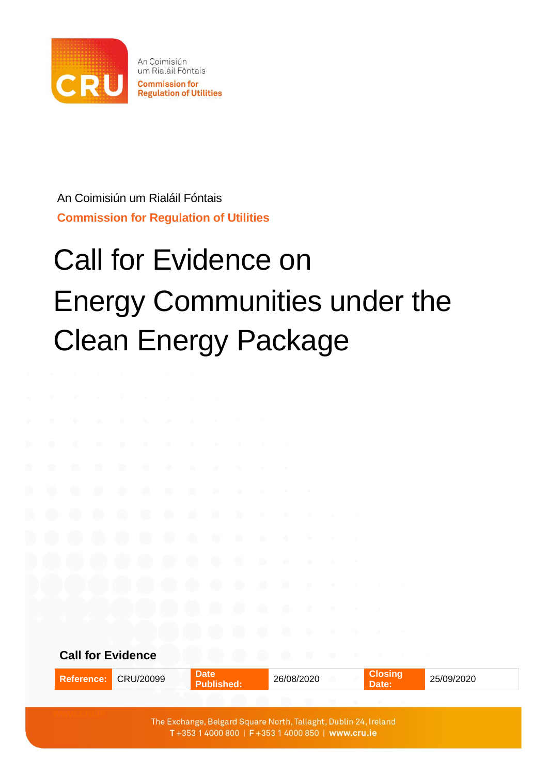

An Coimisiún um Rialáil Fóntais **Commission for Regulation of Utilities** 

An Coimisiún um Rialáil Fóntais **Commission for Regulation of Utilities**

# Call for Evidence on Energy Communities under the Clean Energy Package

**Call for Evidence**

| <b>Reference:</b> | <b>CRU/20099</b> | <b>Date</b><br><b>Published:</b> | 26/08/2020                                                                                                           | <b>Closing</b><br>Date: | 25/09/2020 |
|-------------------|------------------|----------------------------------|----------------------------------------------------------------------------------------------------------------------|-------------------------|------------|
|                   |                  |                                  |                                                                                                                      |                         |            |
|                   |                  |                                  | The Exchange, Belgard Square North, Tallaght, Dublin 24, Ireland<br>T+353 1 4000 800   F+353 1 4000 850   www.cru.ie |                         |            |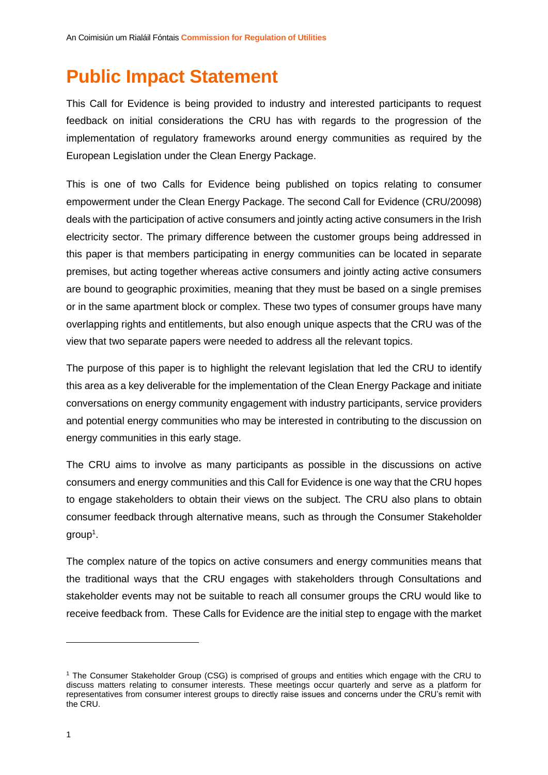## **Public Impact Statement**

This Call for Evidence is being provided to industry and interested participants to request feedback on initial considerations the CRU has with regards to the progression of the implementation of regulatory frameworks around energy communities as required by the European Legislation under the Clean Energy Package.

This is one of two Calls for Evidence being published on topics relating to consumer empowerment under the Clean Energy Package. The second Call for Evidence (CRU/20098) deals with the participation of active consumers and jointly acting active consumers in the Irish electricity sector. The primary difference between the customer groups being addressed in this paper is that members participating in energy communities can be located in separate premises, but acting together whereas active consumers and jointly acting active consumers are bound to geographic proximities, meaning that they must be based on a single premises or in the same apartment block or complex. These two types of consumer groups have many overlapping rights and entitlements, but also enough unique aspects that the CRU was of the view that two separate papers were needed to address all the relevant topics.

The purpose of this paper is to highlight the relevant legislation that led the CRU to identify this area as a key deliverable for the implementation of the Clean Energy Package and initiate conversations on energy community engagement with industry participants, service providers and potential energy communities who may be interested in contributing to the discussion on energy communities in this early stage.

The CRU aims to involve as many participants as possible in the discussions on active consumers and energy communities and this Call for Evidence is one way that the CRU hopes to engage stakeholders to obtain their views on the subject. The CRU also plans to obtain consumer feedback through alternative means, such as through the Consumer Stakeholder group<sup>1</sup> .

The complex nature of the topics on active consumers and energy communities means that the traditional ways that the CRU engages with stakeholders through Consultations and stakeholder events may not be suitable to reach all consumer groups the CRU would like to receive feedback from. These Calls for Evidence are the initial step to engage with the market

<sup>1</sup> The Consumer Stakeholder Group (CSG) is comprised of groups and entities which engage with the CRU to discuss matters relating to consumer interests. These meetings occur quarterly and serve as a platform for representatives from consumer interest groups to directly raise issues and concerns under the CRU's remit with the CRU.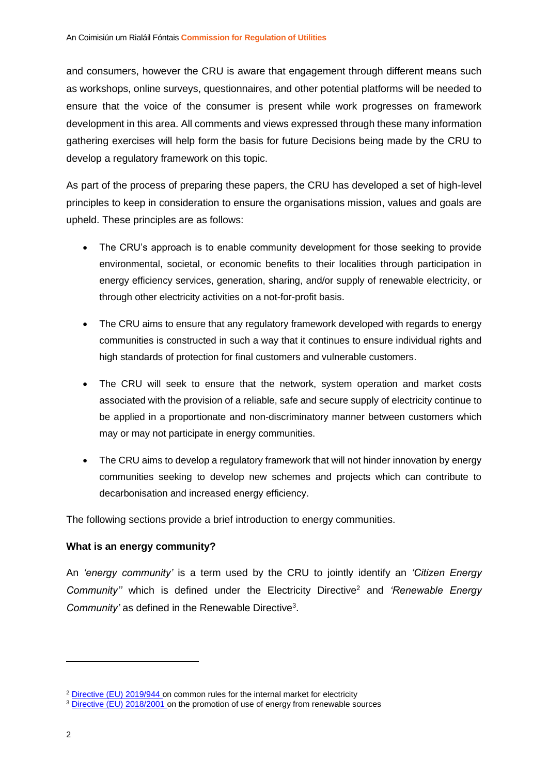and consumers, however the CRU is aware that engagement through different means such as workshops, online surveys, questionnaires, and other potential platforms will be needed to ensure that the voice of the consumer is present while work progresses on framework development in this area. All comments and views expressed through these many information gathering exercises will help form the basis for future Decisions being made by the CRU to develop a regulatory framework on this topic.

As part of the process of preparing these papers, the CRU has developed a set of high-level principles to keep in consideration to ensure the organisations mission, values and goals are upheld. These principles are as follows:

- The CRU's approach is to enable community development for those seeking to provide environmental, societal, or economic benefits to their localities through participation in energy efficiency services, generation, sharing, and/or supply of renewable electricity, or through other electricity activities on a not-for-profit basis.
- The CRU aims to ensure that any regulatory framework developed with regards to energy communities is constructed in such a way that it continues to ensure individual rights and high standards of protection for final customers and vulnerable customers.
- The CRU will seek to ensure that the network, system operation and market costs associated with the provision of a reliable, safe and secure supply of electricity continue to be applied in a proportionate and non-discriminatory manner between customers which may or may not participate in energy communities.
- The CRU aims to develop a regulatory framework that will not hinder innovation by energy communities seeking to develop new schemes and projects which can contribute to decarbonisation and increased energy efficiency.

The following sections provide a brief introduction to energy communities.

#### **What is an energy community?**

An *'energy community'* is a term used by the CRU to jointly identify an *'Citizen Energy Community''* which is defined under the Electricity Directive<sup>2</sup> and *'Renewable Energy*  Community' as defined in the Renewable Directive<sup>3</sup>.

<sup>&</sup>lt;sup>2</sup> [Directive \(EU\) 2019/944](https://eur-lex.europa.eu/legal-content/EN/TXT/PDF/?uri=CELEX:32019L0944&from=EN) on common rules for the internal market for electricity

<sup>&</sup>lt;sup>3</sup> [Directive \(EU\) 2018/2001](https://eur-lex.europa.eu/legal-content/EN/TXT/PDF/?uri=CELEX:32018L2001&from=EN) on the promotion of use of energy from renewable sources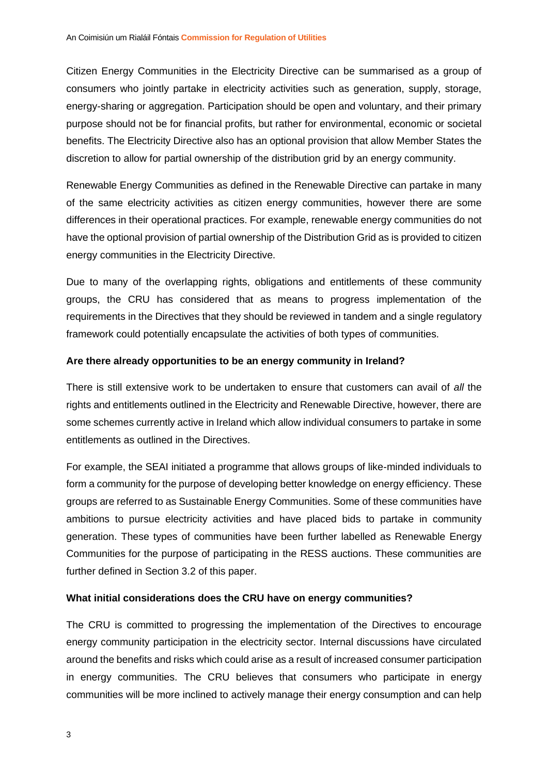Citizen Energy Communities in the Electricity Directive can be summarised as a group of consumers who jointly partake in electricity activities such as generation, supply, storage, energy-sharing or aggregation. Participation should be open and voluntary, and their primary purpose should not be for financial profits, but rather for environmental, economic or societal benefits. The Electricity Directive also has an optional provision that allow Member States the discretion to allow for partial ownership of the distribution grid by an energy community.

Renewable Energy Communities as defined in the Renewable Directive can partake in many of the same electricity activities as citizen energy communities, however there are some differences in their operational practices. For example, renewable energy communities do not have the optional provision of partial ownership of the Distribution Grid as is provided to citizen energy communities in the Electricity Directive.

Due to many of the overlapping rights, obligations and entitlements of these community groups, the CRU has considered that as means to progress implementation of the requirements in the Directives that they should be reviewed in tandem and a single regulatory framework could potentially encapsulate the activities of both types of communities.

#### **Are there already opportunities to be an energy community in Ireland?**

There is still extensive work to be undertaken to ensure that customers can avail of *all* the rights and entitlements outlined in the Electricity and Renewable Directive, however, there are some schemes currently active in Ireland which allow individual consumers to partake in some entitlements as outlined in the Directives.

For example, the SEAI initiated a programme that allows groups of like-minded individuals to form a community for the purpose of developing better knowledge on energy efficiency. These groups are referred to as Sustainable Energy Communities. Some of these communities have ambitions to pursue electricity activities and have placed bids to partake in community generation. These types of communities have been further labelled as Renewable Energy Communities for the purpose of participating in the RESS auctions. These communities are further defined in Section 3.2 of this paper.

#### **What initial considerations does the CRU have on energy communities?**

The CRU is committed to progressing the implementation of the Directives to encourage energy community participation in the electricity sector. Internal discussions have circulated around the benefits and risks which could arise as a result of increased consumer participation in energy communities. The CRU believes that consumers who participate in energy communities will be more inclined to actively manage their energy consumption and can help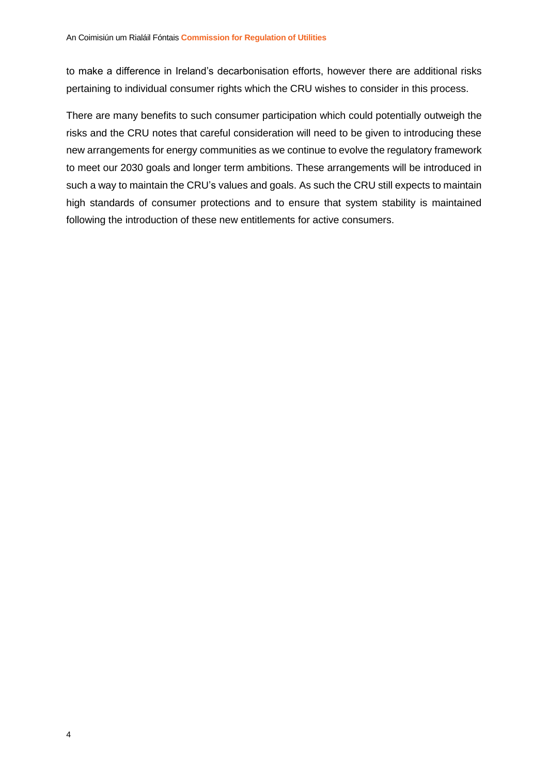to make a difference in Ireland's decarbonisation efforts, however there are additional risks pertaining to individual consumer rights which the CRU wishes to consider in this process.

There are many benefits to such consumer participation which could potentially outweigh the risks and the CRU notes that careful consideration will need to be given to introducing these new arrangements for energy communities as we continue to evolve the regulatory framework to meet our 2030 goals and longer term ambitions. These arrangements will be introduced in such a way to maintain the CRU's values and goals. As such the CRU still expects to maintain high standards of consumer protections and to ensure that system stability is maintained following the introduction of these new entitlements for active consumers.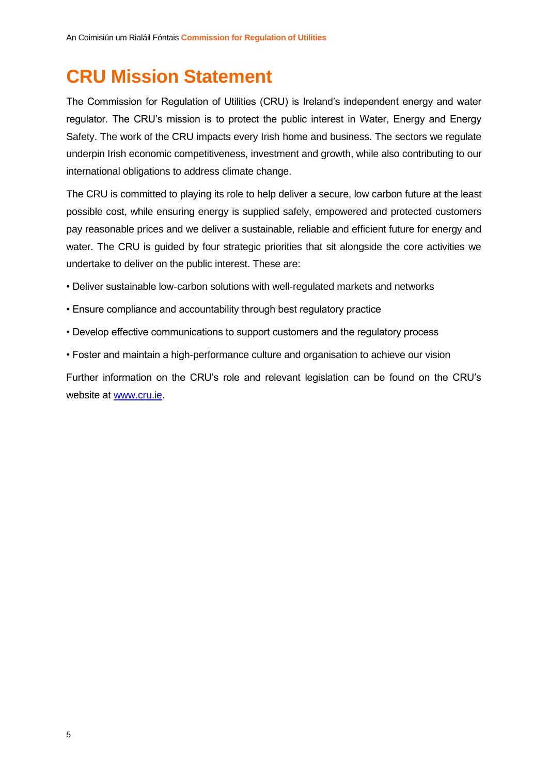## **CRU Mission Statement**

The Commission for Regulation of Utilities (CRU) is Ireland's independent energy and water regulator. The CRU's mission is to protect the public interest in Water, Energy and Energy Safety. The work of the CRU impacts every Irish home and business. The sectors we regulate underpin Irish economic competitiveness, investment and growth, while also contributing to our international obligations to address climate change.

The CRU is committed to playing its role to help deliver a secure, low carbon future at the least possible cost, while ensuring energy is supplied safely, empowered and protected customers pay reasonable prices and we deliver a sustainable, reliable and efficient future for energy and water. The CRU is guided by four strategic priorities that sit alongside the core activities we undertake to deliver on the public interest. These are:

- Deliver sustainable low-carbon solutions with well-regulated markets and networks
- Ensure compliance and accountability through best regulatory practice
- Develop effective communications to support customers and the regulatory process
- Foster and maintain a high-performance culture and organisation to achieve our vision

Further information on the CRU's role and relevant legislation can be found on the CRU's website at [www.cru.ie.](http://www.cru.ie/)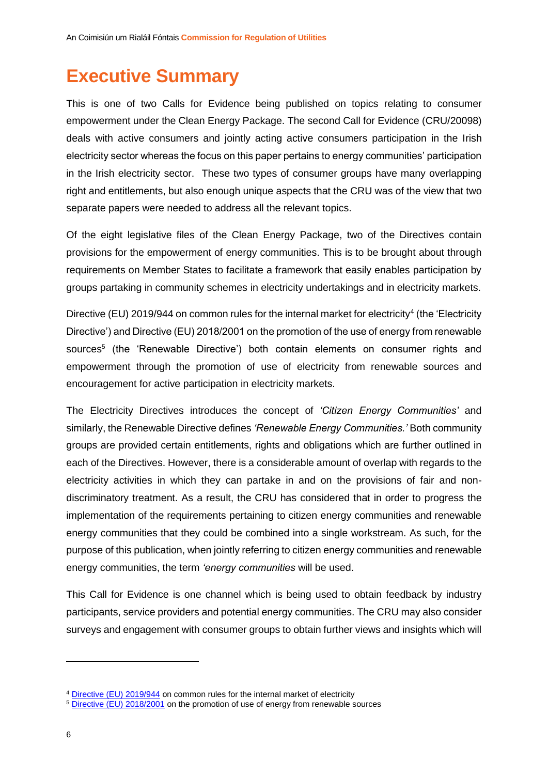## **Executive Summary**

This is one of two Calls for Evidence being published on topics relating to consumer empowerment under the Clean Energy Package. The second Call for Evidence (CRU/20098) deals with active consumers and jointly acting active consumers participation in the Irish electricity sector whereas the focus on this paper pertains to energy communities' participation in the Irish electricity sector. These two types of consumer groups have many overlapping right and entitlements, but also enough unique aspects that the CRU was of the view that two separate papers were needed to address all the relevant topics.

Of the eight legislative files of the Clean Energy Package, two of the Directives contain provisions for the empowerment of energy communities. This is to be brought about through requirements on Member States to facilitate a framework that easily enables participation by groups partaking in community schemes in electricity undertakings and in electricity markets.

Directive (EU) 2019/944 on common rules for the internal market for electricity<sup>4</sup> (the 'Electricity Directive') and Directive (EU) 2018/2001 on the promotion of the use of energy from renewable sources<sup>5</sup> (the 'Renewable Directive') both contain elements on consumer rights and empowerment through the promotion of use of electricity from renewable sources and encouragement for active participation in electricity markets.

The Electricity Directives introduces the concept of *'Citizen Energy Communities'* and similarly, the Renewable Directive defines *'Renewable Energy Communities.'* Both community groups are provided certain entitlements, rights and obligations which are further outlined in each of the Directives. However, there is a considerable amount of overlap with regards to the electricity activities in which they can partake in and on the provisions of fair and nondiscriminatory treatment. As a result, the CRU has considered that in order to progress the implementation of the requirements pertaining to citizen energy communities and renewable energy communities that they could be combined into a single workstream. As such, for the purpose of this publication, when jointly referring to citizen energy communities and renewable energy communities, the term *'energy communities* will be used.

This Call for Evidence is one channel which is being used to obtain feedback by industry participants, service providers and potential energy communities. The CRU may also consider surveys and engagement with consumer groups to obtain further views and insights which will

<sup>4</sup> [Directive \(EU\) 2019/944](https://eur-lex.europa.eu/legal-content/EN/TXT/PDF/?uri=CELEX:32019L0944&from=EN) on common rules for the internal market of electricity

<sup>&</sup>lt;sup>5</sup> [Directive \(EU\) 2018/2001](https://eur-lex.europa.eu/legal-content/EN/TXT/PDF/?uri=CELEX:32018L2001&from=EN) on the promotion of use of energy from renewable sources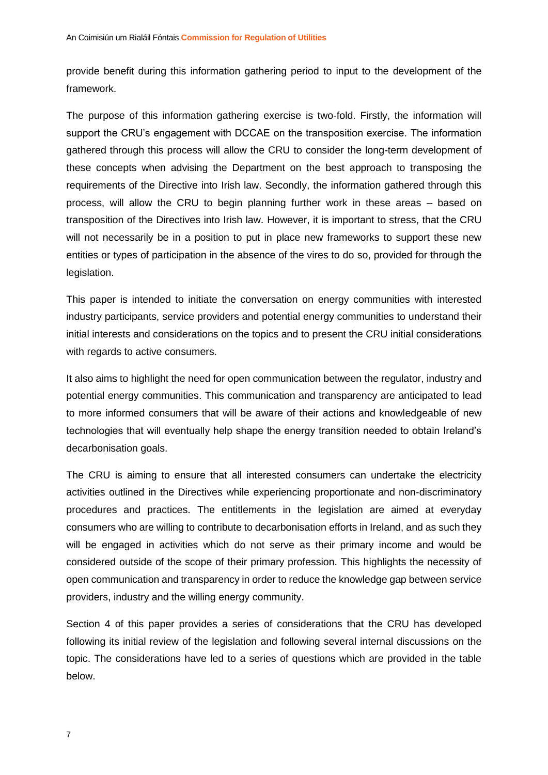provide benefit during this information gathering period to input to the development of the framework.

The purpose of this information gathering exercise is two-fold. Firstly, the information will support the CRU's engagement with DCCAE on the transposition exercise. The information gathered through this process will allow the CRU to consider the long-term development of these concepts when advising the Department on the best approach to transposing the requirements of the Directive into Irish law. Secondly, the information gathered through this process, will allow the CRU to begin planning further work in these areas – based on transposition of the Directives into Irish law. However, it is important to stress, that the CRU will not necessarily be in a position to put in place new frameworks to support these new entities or types of participation in the absence of the vires to do so, provided for through the legislation.

This paper is intended to initiate the conversation on energy communities with interested industry participants, service providers and potential energy communities to understand their initial interests and considerations on the topics and to present the CRU initial considerations with regards to active consumers.

It also aims to highlight the need for open communication between the regulator, industry and potential energy communities. This communication and transparency are anticipated to lead to more informed consumers that will be aware of their actions and knowledgeable of new technologies that will eventually help shape the energy transition needed to obtain Ireland's decarbonisation goals.

The CRU is aiming to ensure that all interested consumers can undertake the electricity activities outlined in the Directives while experiencing proportionate and non-discriminatory procedures and practices. The entitlements in the legislation are aimed at everyday consumers who are willing to contribute to decarbonisation efforts in Ireland, and as such they will be engaged in activities which do not serve as their primary income and would be considered outside of the scope of their primary profession. This highlights the necessity of open communication and transparency in order to reduce the knowledge gap between service providers, industry and the willing energy community.

Section 4 of this paper provides a series of considerations that the CRU has developed following its initial review of the legislation and following several internal discussions on the topic. The considerations have led to a series of questions which are provided in the table below.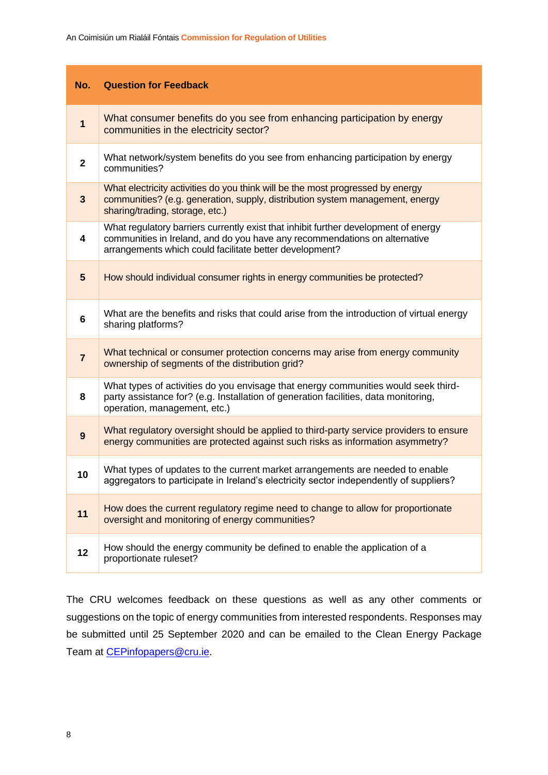| No.            | <b>Question for Feedback</b>                                                                                                                                                                                                 |
|----------------|------------------------------------------------------------------------------------------------------------------------------------------------------------------------------------------------------------------------------|
| $\mathbf{1}$   | What consumer benefits do you see from enhancing participation by energy<br>communities in the electricity sector?                                                                                                           |
| $\mathbf{2}$   | What network/system benefits do you see from enhancing participation by energy<br>communities?                                                                                                                               |
| $\mathbf{3}$   | What electricity activities do you think will be the most progressed by energy<br>communities? (e.g. generation, supply, distribution system management, energy<br>sharing/trading, storage, etc.)                           |
| 4              | What regulatory barriers currently exist that inhibit further development of energy<br>communities in Ireland, and do you have any recommendations on alternative<br>arrangements which could facilitate better development? |
| $5\phantom{1}$ | How should individual consumer rights in energy communities be protected?                                                                                                                                                    |
| 6              | What are the benefits and risks that could arise from the introduction of virtual energy<br>sharing platforms?                                                                                                               |
| $\overline{7}$ | What technical or consumer protection concerns may arise from energy community<br>ownership of segments of the distribution grid?                                                                                            |
| 8              | What types of activities do you envisage that energy communities would seek third-<br>party assistance for? (e.g. Installation of generation facilities, data monitoring,<br>operation, management, etc.)                    |
| 9              | What regulatory oversight should be applied to third-party service providers to ensure<br>energy communities are protected against such risks as information asymmetry?                                                      |
| 10             | What types of updates to the current market arrangements are needed to enable<br>aggregators to participate in Ireland's electricity sector independently of suppliers?                                                      |
| 11             | How does the current regulatory regime need to change to allow for proportionate<br>oversight and monitoring of energy communities?                                                                                          |
| 12             | How should the energy community be defined to enable the application of a<br>proportionate ruleset?                                                                                                                          |

The CRU welcomes feedback on these questions as well as any other comments or suggestions on the topic of energy communities from interested respondents. Responses may be submitted until 25 September 2020 and can be emailed to the Clean Energy Package Team at [CEPinfopapers@cru.ie.](mailto:CEPinfopapers@cru.ie)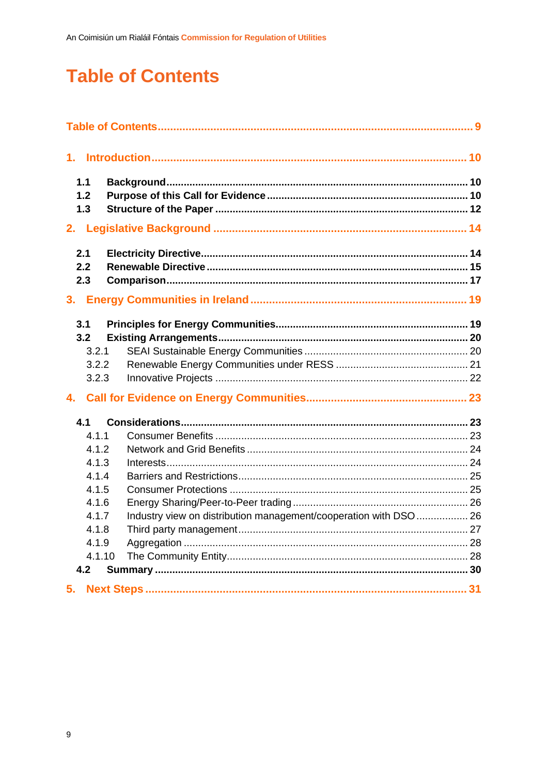## <span id="page-9-0"></span>**Table of Contents**

|    | 1.1    |  |                                                                   |  |
|----|--------|--|-------------------------------------------------------------------|--|
|    | 1.2    |  |                                                                   |  |
|    | 1.3    |  |                                                                   |  |
|    |        |  |                                                                   |  |
|    | 2.1    |  |                                                                   |  |
|    | 2.2    |  |                                                                   |  |
|    | 2.3    |  |                                                                   |  |
|    |        |  |                                                                   |  |
|    | 3.1    |  |                                                                   |  |
|    | 3.2    |  |                                                                   |  |
|    | 3.2.1  |  |                                                                   |  |
|    | 3.2.2  |  |                                                                   |  |
|    | 3.2.3  |  |                                                                   |  |
|    |        |  |                                                                   |  |
|    | 4.1    |  |                                                                   |  |
|    | 4.1.1  |  |                                                                   |  |
|    | 4.1.2  |  |                                                                   |  |
|    | 4.1.3  |  |                                                                   |  |
|    | 4.1.4  |  |                                                                   |  |
|    | 4.1.5  |  |                                                                   |  |
|    | 4.1.6  |  |                                                                   |  |
|    | 4.1.7  |  | Industry view on distribution management/cooperation with DSO  26 |  |
|    | 4.1.8  |  |                                                                   |  |
|    | 4.1.9  |  |                                                                   |  |
|    | 4.1.10 |  |                                                                   |  |
|    | 4.2    |  |                                                                   |  |
| 5. |        |  |                                                                   |  |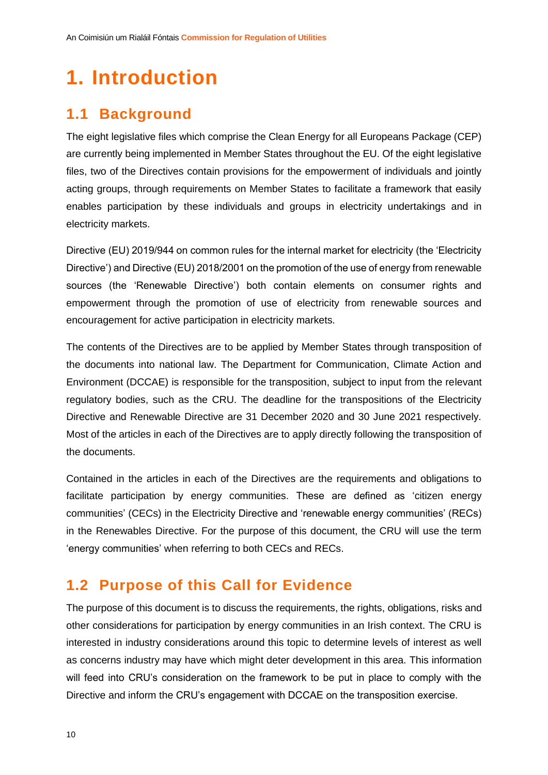## <span id="page-10-0"></span>**1. Introduction**

### <span id="page-10-1"></span>**1.1 Background**

The eight legislative files which comprise the Clean Energy for all Europeans Package (CEP) are currently being implemented in Member States throughout the EU. Of the eight legislative files, two of the Directives contain provisions for the empowerment of individuals and jointly acting groups, through requirements on Member States to facilitate a framework that easily enables participation by these individuals and groups in electricity undertakings and in electricity markets.

Directive (EU) 2019/944 on common rules for the internal market for electricity (the 'Electricity Directive') and Directive (EU) 2018/2001 on the promotion of the use of energy from renewable sources (the 'Renewable Directive') both contain elements on consumer rights and empowerment through the promotion of use of electricity from renewable sources and encouragement for active participation in electricity markets.

The contents of the Directives are to be applied by Member States through transposition of the documents into national law. The Department for Communication, Climate Action and Environment (DCCAE) is responsible for the transposition, subject to input from the relevant regulatory bodies, such as the CRU. The deadline for the transpositions of the Electricity Directive and Renewable Directive are 31 December 2020 and 30 June 2021 respectively. Most of the articles in each of the Directives are to apply directly following the transposition of the documents.

Contained in the articles in each of the Directives are the requirements and obligations to facilitate participation by energy communities. These are defined as 'citizen energy communities' (CECs) in the Electricity Directive and 'renewable energy communities' (RECs) in the Renewables Directive. For the purpose of this document, the CRU will use the term 'energy communities' when referring to both CECs and RECs.

### <span id="page-10-2"></span>**1.2 Purpose of this Call for Evidence**

The purpose of this document is to discuss the requirements, the rights, obligations, risks and other considerations for participation by energy communities in an Irish context. The CRU is interested in industry considerations around this topic to determine levels of interest as well as concerns industry may have which might deter development in this area. This information will feed into CRU's consideration on the framework to be put in place to comply with the Directive and inform the CRU's engagement with DCCAE on the transposition exercise.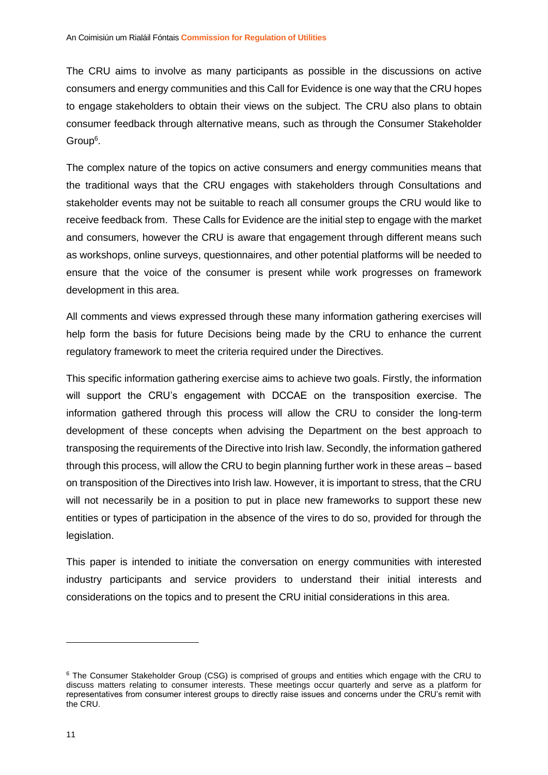The CRU aims to involve as many participants as possible in the discussions on active consumers and energy communities and this Call for Evidence is one way that the CRU hopes to engage stakeholders to obtain their views on the subject. The CRU also plans to obtain consumer feedback through alternative means, such as through the Consumer Stakeholder Group<sup>6</sup> .

The complex nature of the topics on active consumers and energy communities means that the traditional ways that the CRU engages with stakeholders through Consultations and stakeholder events may not be suitable to reach all consumer groups the CRU would like to receive feedback from. These Calls for Evidence are the initial step to engage with the market and consumers, however the CRU is aware that engagement through different means such as workshops, online surveys, questionnaires, and other potential platforms will be needed to ensure that the voice of the consumer is present while work progresses on framework development in this area.

All comments and views expressed through these many information gathering exercises will help form the basis for future Decisions being made by the CRU to enhance the current regulatory framework to meet the criteria required under the Directives.

This specific information gathering exercise aims to achieve two goals. Firstly, the information will support the CRU's engagement with DCCAE on the transposition exercise. The information gathered through this process will allow the CRU to consider the long-term development of these concepts when advising the Department on the best approach to transposing the requirements of the Directive into Irish law. Secondly, the information gathered through this process, will allow the CRU to begin planning further work in these areas – based on transposition of the Directives into Irish law. However, it is important to stress, that the CRU will not necessarily be in a position to put in place new frameworks to support these new entities or types of participation in the absence of the vires to do so, provided for through the legislation.

This paper is intended to initiate the conversation on energy communities with interested industry participants and service providers to understand their initial interests and considerations on the topics and to present the CRU initial considerations in this area.

<sup>&</sup>lt;sup>6</sup> The Consumer Stakeholder Group (CSG) is comprised of groups and entities which engage with the CRU to discuss matters relating to consumer interests. These meetings occur quarterly and serve as a platform for representatives from consumer interest groups to directly raise issues and concerns under the CRU's remit with the CRU.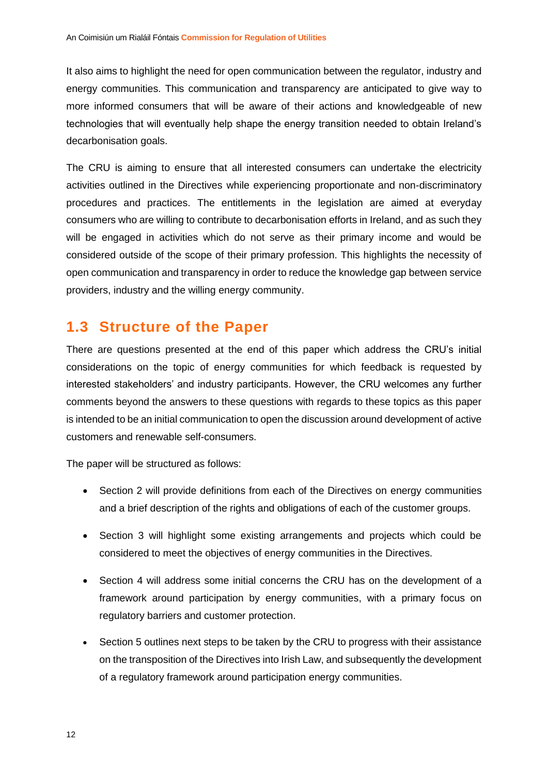It also aims to highlight the need for open communication between the regulator, industry and energy communities. This communication and transparency are anticipated to give way to more informed consumers that will be aware of their actions and knowledgeable of new technologies that will eventually help shape the energy transition needed to obtain Ireland's decarbonisation goals.

The CRU is aiming to ensure that all interested consumers can undertake the electricity activities outlined in the Directives while experiencing proportionate and non-discriminatory procedures and practices. The entitlements in the legislation are aimed at everyday consumers who are willing to contribute to decarbonisation efforts in Ireland, and as such they will be engaged in activities which do not serve as their primary income and would be considered outside of the scope of their primary profession. This highlights the necessity of open communication and transparency in order to reduce the knowledge gap between service providers, industry and the willing energy community.

### <span id="page-12-0"></span>**1.3 Structure of the Paper**

There are questions presented at the end of this paper which address the CRU's initial considerations on the topic of energy communities for which feedback is requested by interested stakeholders' and industry participants. However, the CRU welcomes any further comments beyond the answers to these questions with regards to these topics as this paper is intended to be an initial communication to open the discussion around development of active customers and renewable self-consumers.

The paper will be structured as follows:

- Section 2 will provide definitions from each of the Directives on energy communities and a brief description of the rights and obligations of each of the customer groups.
- Section 3 will highlight some existing arrangements and projects which could be considered to meet the objectives of energy communities in the Directives.
- Section 4 will address some initial concerns the CRU has on the development of a framework around participation by energy communities, with a primary focus on regulatory barriers and customer protection.
- Section 5 outlines next steps to be taken by the CRU to progress with their assistance on the transposition of the Directives into Irish Law, and subsequently the development of a regulatory framework around participation energy communities.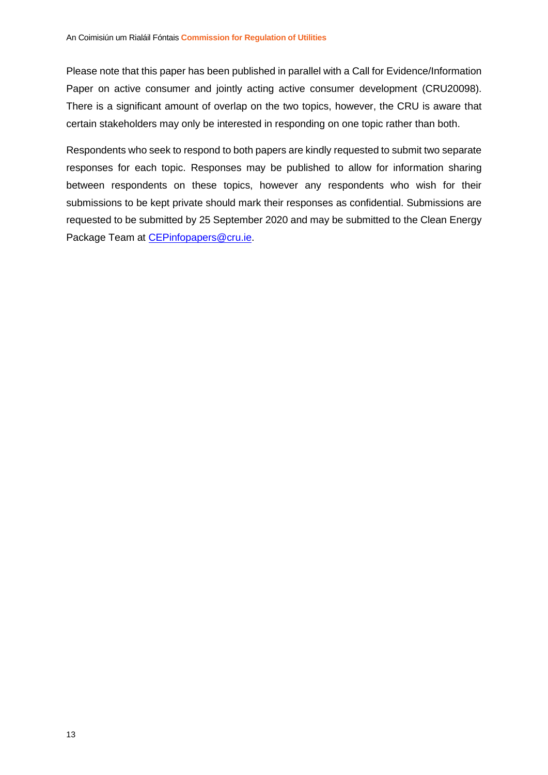Please note that this paper has been published in parallel with a Call for Evidence/Information Paper on active consumer and jointly acting active consumer development (CRU20098). There is a significant amount of overlap on the two topics, however, the CRU is aware that certain stakeholders may only be interested in responding on one topic rather than both.

Respondents who seek to respond to both papers are kindly requested to submit two separate responses for each topic. Responses may be published to allow for information sharing between respondents on these topics, however any respondents who wish for their submissions to be kept private should mark their responses as confidential. Submissions are requested to be submitted by 25 September 2020 and may be submitted to the Clean Energy Package Team at [CEPinfopapers@cru.ie.](mailto:CEPinfopapers@cru.ie)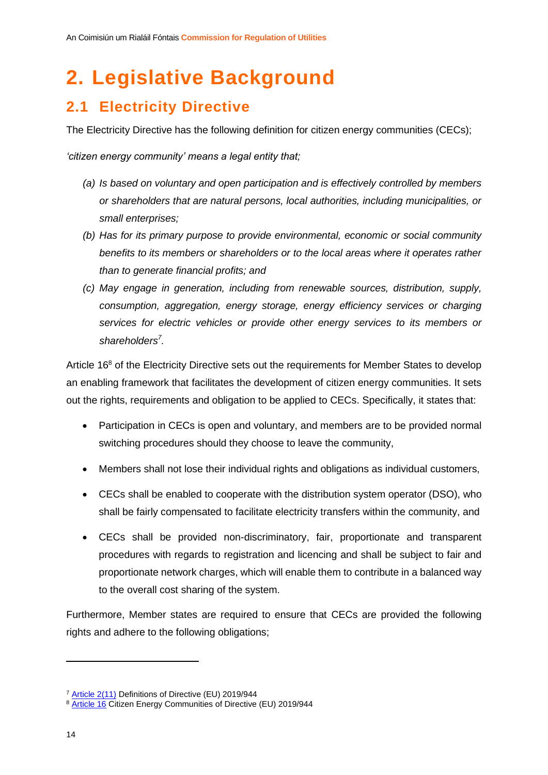## <span id="page-14-0"></span>**2. Legislative Background**

## <span id="page-14-1"></span>**2.1 Electricity Directive**

The Electricity Directive has the following definition for citizen energy communities (CECs);

*'citizen energy community' means a legal entity that;*

- *(a) Is based on voluntary and open participation and is effectively controlled by members or shareholders that are natural persons, local authorities, including municipalities, or small enterprises;*
- *(b) Has for its primary purpose to provide environmental, economic or social community benefits to its members or shareholders or to the local areas where it operates rather than to generate financial profits; and*
- *(c) May engage in generation, including from renewable sources, distribution, supply, consumption, aggregation, energy storage, energy efficiency services or charging services for electric vehicles or provide other energy services to its members or shareholders<sup>7</sup> .*

Article 16<sup>8</sup> of the Electricity Directive sets out the requirements for Member States to develop an enabling framework that facilitates the development of citizen energy communities. It sets out the rights, requirements and obligation to be applied to CECs. Specifically, it states that:

- Participation in CECs is open and voluntary, and members are to be provided normal switching procedures should they choose to leave the community,
- Members shall not lose their individual rights and obligations as individual customers,
- CECs shall be enabled to cooperate with the distribution system operator (DSO), who shall be fairly compensated to facilitate electricity transfers within the community, and
- CECs shall be provided non-discriminatory, fair, proportionate and transparent procedures with regards to registration and licencing and shall be subject to fair and proportionate network charges, which will enable them to contribute in a balanced way to the overall cost sharing of the system.

Furthermore, Member states are required to ensure that CECs are provided the following rights and adhere to the following obligations;

<sup>7</sup> [Article 2\(11\)](https://eur-lex.europa.eu/legal-content/EN/TXT/PDF/?uri=CELEX:32019L0944&from=EN#page=16) Definitions of Directive (EU) 2019/944

<sup>8</sup> [Article 16](https://eur-lex.europa.eu/legal-content/EN/TXT/PDF/?uri=CELEX:32019L0944&from=EN#page=27) Citizen Energy Communities of Directive (EU) 2019/944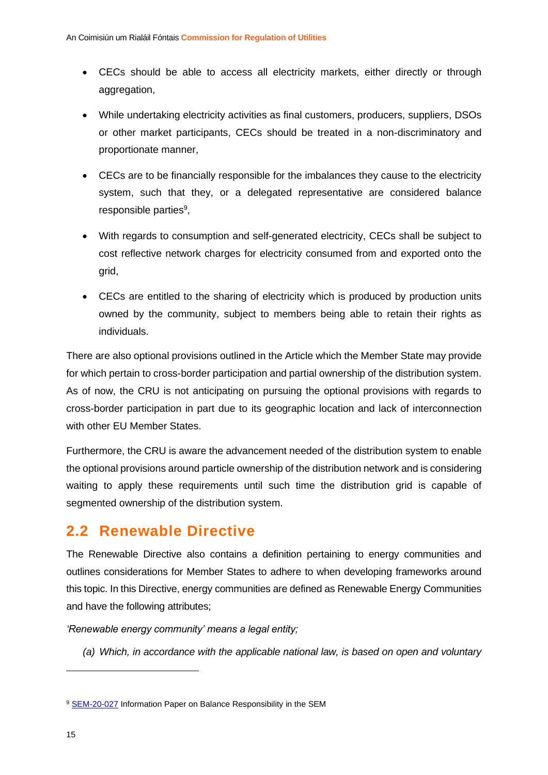- CECs should be able to access all electricity markets, either directly or through aggregation,
- While undertaking electricity activities as final customers, producers, suppliers, DSOs or other market participants, CECs should be treated in a non-discriminatory and proportionate manner,
- CECs are to be financially responsible for the imbalances they cause to the electricity system, such that they, or a delegated representative are considered balance responsible parties<sup>9</sup>,
- With regards to consumption and self-generated electricity, CECs shall be subject to cost reflective network charges for electricity consumed from and exported onto the grid,
- CECs are entitled to the sharing of electricity which is produced by production units owned by the community, subject to members being able to retain their rights as individuals.

There are also optional provisions outlined in the Article which the Member State may provide for which pertain to cross-border participation and partial ownership of the distribution system. As of now, the CRU is not anticipating on pursuing the optional provisions with regards to cross-border participation in part due to its geographic location and lack of interconnection with other EU Member States.

Furthermore, the CRU is aware the advancement needed of the distribution system to enable the optional provisions around particle ownership of the distribution network and is considering waiting to apply these requirements until such time the distribution grid is capable of segmented ownership of the distribution system.

### <span id="page-15-0"></span>**2.2 Renewable Directive**

The Renewable Directive also contains a definition pertaining to energy communities and outlines considerations for Member States to adhere to when developing frameworks around this topic. In this Directive, energy communities are defined as Renewable Energy Communities and have the following attributes;

*'Renewable energy community' means a legal entity;*

*(a) Which, in accordance with the applicable national law, is based on open and voluntary* 

<sup>&</sup>lt;sup>9</sup> [SEM-20-027](https://www.semcommittee.com/sites/semc/files/media-files/SEM-20-027%20Information%20Paper%20on%20Balance%20Responsibility%20in%20the%20SEM.pdf) Information Paper on Balance Responsibility in the SEM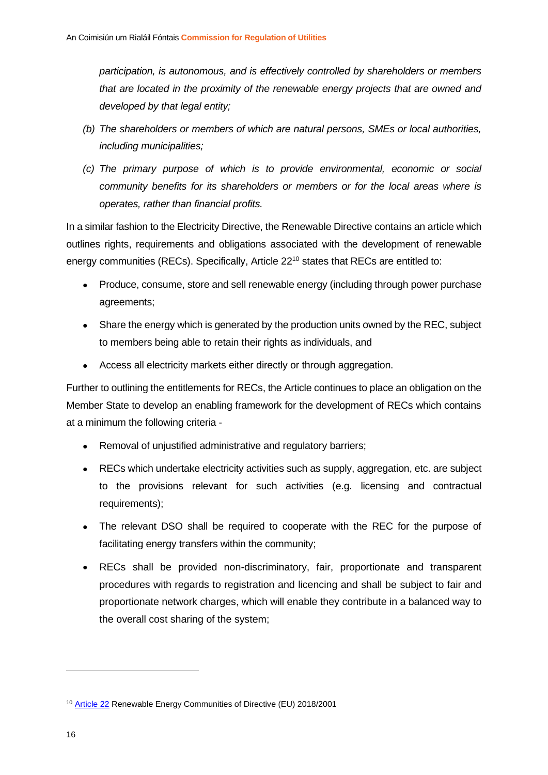*participation, is autonomous, and is effectively controlled by shareholders or members that are located in the proximity of the renewable energy projects that are owned and developed by that legal entity;*

- *(b) The shareholders or members of which are natural persons, SMEs or local authorities, including municipalities;*
- *(c) The primary purpose of which is to provide environmental, economic or social community benefits for its shareholders or members or for the local areas where is operates, rather than financial profits.*

In a similar fashion to the Electricity Directive, the Renewable Directive contains an article which outlines rights, requirements and obligations associated with the development of renewable energy communities (RECs). Specifically, Article 22<sup>10</sup> states that RECs are entitled to:

- Produce, consume, store and sell renewable energy (including through power purchase agreements;
- Share the energy which is generated by the production units owned by the REC, subject to members being able to retain their rights as individuals, and
- Access all electricity markets either directly or through aggregation.

Further to outlining the entitlements for RECs, the Article continues to place an obligation on the Member State to develop an enabling framework for the development of RECs which contains at a minimum the following criteria -

- Removal of unjustified administrative and regulatory barriers;
- RECs which undertake electricity activities such as supply, aggregation, etc. are subject to the provisions relevant for such activities (e.g. licensing and contractual requirements);
- The relevant DSO shall be required to cooperate with the REC for the purpose of facilitating energy transfers within the community;
- RECs shall be provided non-discriminatory, fair, proportionate and transparent procedures with regards to registration and licencing and shall be subject to fair and proportionate network charges, which will enable they contribute in a balanced way to the overall cost sharing of the system;

<sup>&</sup>lt;sup>10</sup> [Article 22](https://eur-lex.europa.eu/legal-content/EN/TXT/PDF/?uri=CELEX:32018L2001&from=EN#page=40) Renewable Energy Communities of Directive (EU) 2018/2001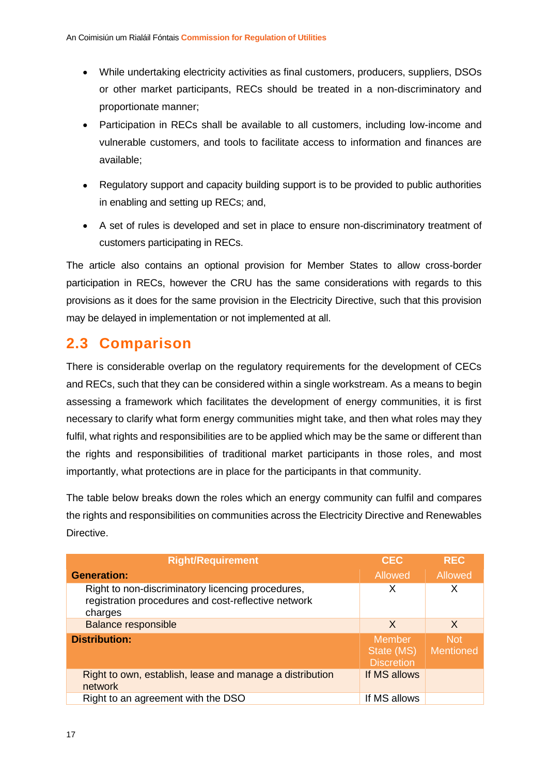- While undertaking electricity activities as final customers, producers, suppliers, DSOs or other market participants, RECs should be treated in a non-discriminatory and proportionate manner;
- Participation in RECs shall be available to all customers, including low-income and vulnerable customers, and tools to facilitate access to information and finances are available;
- Regulatory support and capacity building support is to be provided to public authorities in enabling and setting up RECs; and,
- A set of rules is developed and set in place to ensure non-discriminatory treatment of customers participating in RECs.

The article also contains an optional provision for Member States to allow cross-border participation in RECs, however the CRU has the same considerations with regards to this provisions as it does for the same provision in the Electricity Directive, such that this provision may be delayed in implementation or not implemented at all.

### <span id="page-17-0"></span>**2.3 Comparison**

There is considerable overlap on the regulatory requirements for the development of CECs and RECs, such that they can be considered within a single workstream. As a means to begin assessing a framework which facilitates the development of energy communities, it is first necessary to clarify what form energy communities might take, and then what roles may they fulfil, what rights and responsibilities are to be applied which may be the same or different than the rights and responsibilities of traditional market participants in those roles, and most importantly, what protections are in place for the participants in that community.

The table below breaks down the roles which an energy community can fulfil and compares the rights and responsibilities on communities across the Electricity Directive and Renewables Directive.

| <b>Right/Requirement</b>                                                                                            | <b>CEC</b>                                       | <b>REC</b>              |
|---------------------------------------------------------------------------------------------------------------------|--------------------------------------------------|-------------------------|
| <b>Generation:</b>                                                                                                  | Allowed                                          | Allowed                 |
| Right to non-discriminatory licencing procedures,<br>registration procedures and cost-reflective network<br>charges | Х                                                | X                       |
| <b>Balance responsible</b>                                                                                          | X                                                | X                       |
| <b>Distribution:</b>                                                                                                | <b>Member</b><br>State (MS)<br><b>Discretion</b> | <b>Not</b><br>Mentioned |
| Right to own, establish, lease and manage a distribution<br>network                                                 | If MS allows                                     |                         |
| Right to an agreement with the DSO                                                                                  | If MS allows                                     |                         |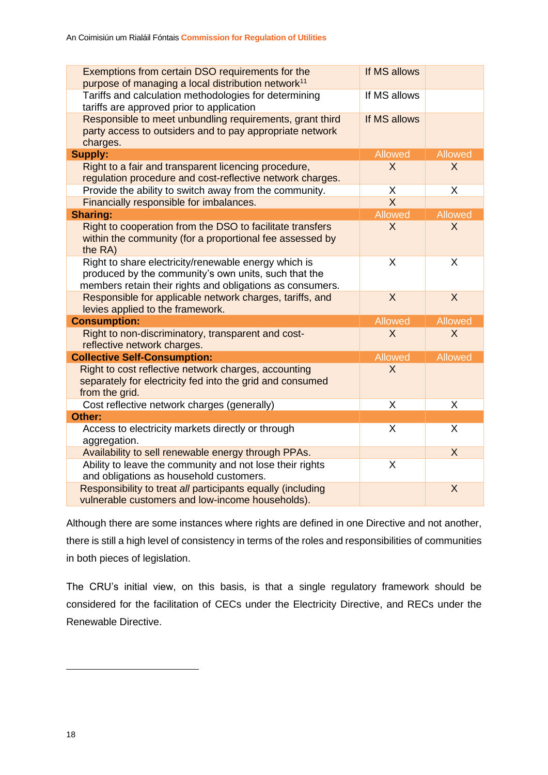| Exemptions from certain DSO requirements for the<br>purpose of managing a local distribution network <sup>11</sup>                                                        | If MS allows   |                         |
|---------------------------------------------------------------------------------------------------------------------------------------------------------------------------|----------------|-------------------------|
| Tariffs and calculation methodologies for determining<br>tariffs are approved prior to application                                                                        | If MS allows   |                         |
| Responsible to meet unbundling requirements, grant third<br>party access to outsiders and to pay appropriate network<br>charges.                                          | If MS allows   |                         |
| <b>Supply:</b>                                                                                                                                                            | <b>Allowed</b> | <b>Allowed</b>          |
| Right to a fair and transparent licencing procedure,<br>regulation procedure and cost-reflective network charges.                                                         | $\sf X$        | X                       |
| Provide the ability to switch away from the community.                                                                                                                    | X              | X                       |
| Financially responsible for imbalances.                                                                                                                                   | $\overline{X}$ |                         |
| <b>Sharing:</b>                                                                                                                                                           | Allowed        | <b>Allowed</b>          |
| Right to cooperation from the DSO to facilitate transfers<br>within the community (for a proportional fee assessed by<br>the RA)                                          | X              | X                       |
| Right to share electricity/renewable energy which is<br>produced by the community's own units, such that the<br>members retain their rights and obligations as consumers. | X              | X                       |
| Responsible for applicable network charges, tariffs, and<br>levies applied to the framework.                                                                              | X              | X                       |
| <b>Consumption:</b>                                                                                                                                                       | Allowed        | <b>Allowed</b>          |
| Right to non-discriminatory, transparent and cost-<br>reflective network charges.                                                                                         | $\overline{X}$ | $\sf X$                 |
| <b>Collective Self-Consumption:</b>                                                                                                                                       | Allowed        | <b>Allowed</b>          |
| Right to cost reflective network charges, accounting<br>separately for electricity fed into the grid and consumed<br>from the grid.                                       | X              |                         |
| Cost reflective network charges (generally)                                                                                                                               | X              | X                       |
| Other:                                                                                                                                                                    |                |                         |
| Access to electricity markets directly or through<br>aggregation.                                                                                                         | X              | X                       |
| Availability to sell renewable energy through PPAs.                                                                                                                       |                | $\overline{X}$          |
| Ability to leave the community and not lose their rights<br>and obligations as household customers.                                                                       | X              |                         |
| Responsibility to treat all participants equally (including<br>vulnerable customers and low-income households).                                                           |                | $\overline{\mathsf{X}}$ |

Although there are some instances where rights are defined in one Directive and not another, there is still a high level of consistency in terms of the roles and responsibilities of communities in both pieces of legislation.

The CRU's initial view, on this basis, is that a single regulatory framework should be considered for the facilitation of CECs under the Electricity Directive, and RECs under the Renewable Directive.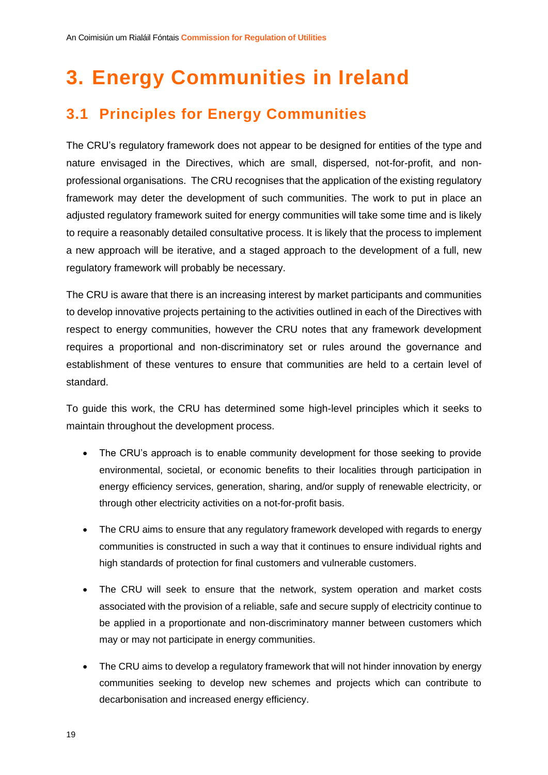## <span id="page-19-0"></span>**3. Energy Communities in Ireland**

## <span id="page-19-1"></span>**3.1 Principles for Energy Communities**

The CRU's regulatory framework does not appear to be designed for entities of the type and nature envisaged in the Directives, which are small, dispersed, not-for-profit, and nonprofessional organisations. The CRU recognises that the application of the existing regulatory framework may deter the development of such communities. The work to put in place an adjusted regulatory framework suited for energy communities will take some time and is likely to require a reasonably detailed consultative process. It is likely that the process to implement a new approach will be iterative, and a staged approach to the development of a full, new regulatory framework will probably be necessary.

The CRU is aware that there is an increasing interest by market participants and communities to develop innovative projects pertaining to the activities outlined in each of the Directives with respect to energy communities, however the CRU notes that any framework development requires a proportional and non-discriminatory set or rules around the governance and establishment of these ventures to ensure that communities are held to a certain level of standard.

To guide this work, the CRU has determined some high-level principles which it seeks to maintain throughout the development process.

- The CRU's approach is to enable community development for those seeking to provide environmental, societal, or economic benefits to their localities through participation in energy efficiency services, generation, sharing, and/or supply of renewable electricity, or through other electricity activities on a not-for-profit basis.
- The CRU aims to ensure that any regulatory framework developed with regards to energy communities is constructed in such a way that it continues to ensure individual rights and high standards of protection for final customers and vulnerable customers.
- The CRU will seek to ensure that the network, system operation and market costs associated with the provision of a reliable, safe and secure supply of electricity continue to be applied in a proportionate and non-discriminatory manner between customers which may or may not participate in energy communities.
- The CRU aims to develop a regulatory framework that will not hinder innovation by energy communities seeking to develop new schemes and projects which can contribute to decarbonisation and increased energy efficiency.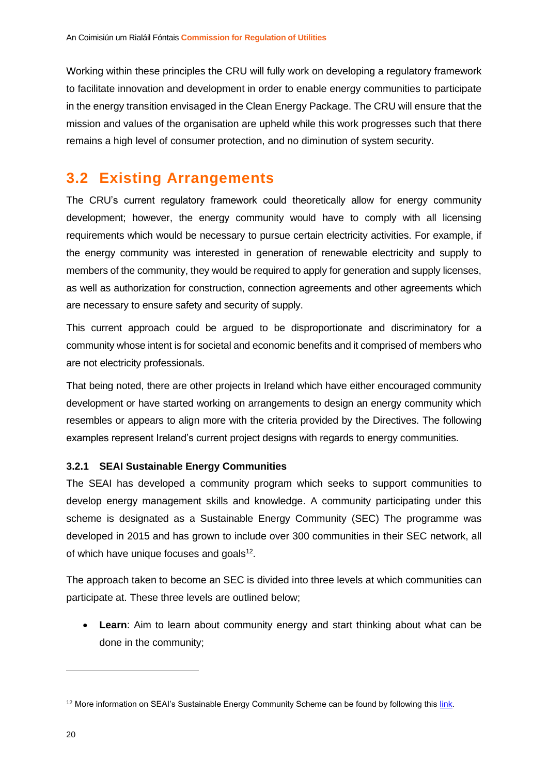Working within these principles the CRU will fully work on developing a regulatory framework to facilitate innovation and development in order to enable energy communities to participate in the energy transition envisaged in the Clean Energy Package. The CRU will ensure that the mission and values of the organisation are upheld while this work progresses such that there remains a high level of consumer protection, and no diminution of system security.

### <span id="page-20-0"></span>**3.2 Existing Arrangements**

The CRU's current regulatory framework could theoretically allow for energy community development; however, the energy community would have to comply with all licensing requirements which would be necessary to pursue certain electricity activities. For example, if the energy community was interested in generation of renewable electricity and supply to members of the community, they would be required to apply for generation and supply licenses, as well as authorization for construction, connection agreements and other agreements which are necessary to ensure safety and security of supply.

This current approach could be argued to be disproportionate and discriminatory for a community whose intent is for societal and economic benefits and it comprised of members who are not electricity professionals.

That being noted, there are other projects in Ireland which have either encouraged community development or have started working on arrangements to design an energy community which resembles or appears to align more with the criteria provided by the Directives. The following examples represent Ireland's current project designs with regards to energy communities.

#### <span id="page-20-1"></span>**3.2.1 SEAI Sustainable Energy Communities**

The SEAI has developed a community program which seeks to support communities to develop energy management skills and knowledge. A community participating under this scheme is designated as a Sustainable Energy Community (SEC) The programme was developed in 2015 and has grown to include over 300 communities in their SEC network, all of which have unique focuses and goals<sup>12</sup>.

The approach taken to become an SEC is divided into three levels at which communities can participate at. These three levels are outlined below;

• **Learn**: Aim to learn about community energy and start thinking about what can be done in the community;

<sup>&</sup>lt;sup>12</sup> More information on SEAI's Sustainable Energy Community Scheme can be found by following this [link.](https://www.seai.ie/community-energy/sustainable-energy-communities/community-network/)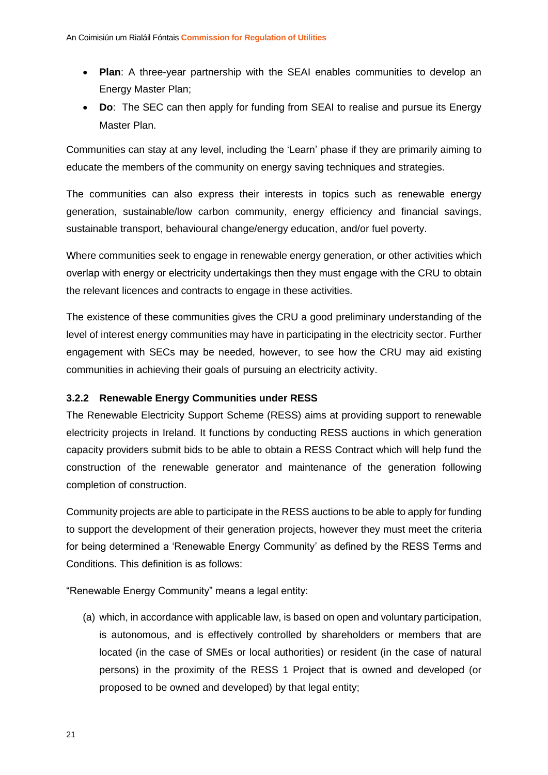- **Plan**: A three-year partnership with the SEAI enables communities to develop an Energy Master Plan;
- **Do**: The SEC can then apply for funding from SEAI to realise and pursue its Energy Master Plan.

Communities can stay at any level, including the 'Learn' phase if they are primarily aiming to educate the members of the community on energy saving techniques and strategies.

The communities can also express their interests in topics such as renewable energy generation, sustainable/low carbon community, energy efficiency and financial savings, sustainable transport, behavioural change/energy education, and/or fuel poverty.

Where communities seek to engage in renewable energy generation, or other activities which overlap with energy or electricity undertakings then they must engage with the CRU to obtain the relevant licences and contracts to engage in these activities.

The existence of these communities gives the CRU a good preliminary understanding of the level of interest energy communities may have in participating in the electricity sector. Further engagement with SECs may be needed, however, to see how the CRU may aid existing communities in achieving their goals of pursuing an electricity activity.

#### <span id="page-21-0"></span>**3.2.2 Renewable Energy Communities under RESS**

The Renewable Electricity Support Scheme (RESS) aims at providing support to renewable electricity projects in Ireland. It functions by conducting RESS auctions in which generation capacity providers submit bids to be able to obtain a RESS Contract which will help fund the construction of the renewable generator and maintenance of the generation following completion of construction.

Community projects are able to participate in the RESS auctions to be able to apply for funding to support the development of their generation projects, however they must meet the criteria for being determined a 'Renewable Energy Community' as defined by the RESS Terms and Conditions. This definition is as follows:

"Renewable Energy Community" means a legal entity:

(a) which, in accordance with applicable law, is based on open and voluntary participation, is autonomous, and is effectively controlled by shareholders or members that are located (in the case of SMEs or local authorities) or resident (in the case of natural persons) in the proximity of the RESS 1 Project that is owned and developed (or proposed to be owned and developed) by that legal entity;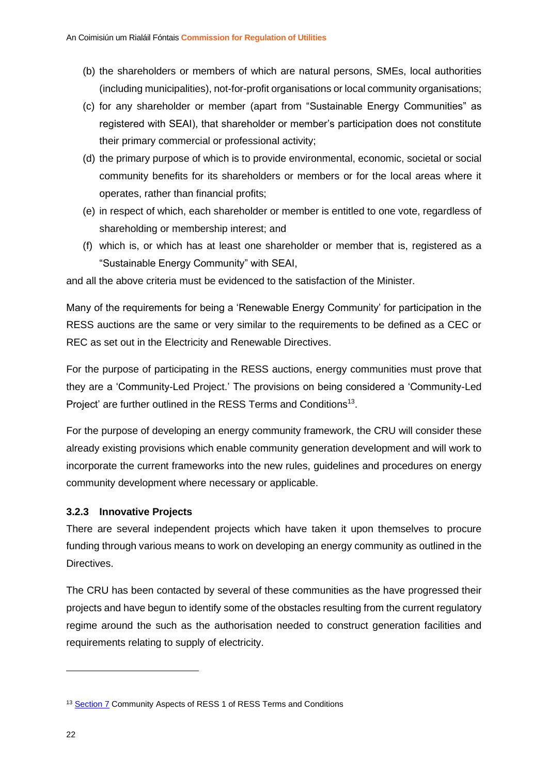- (b) the shareholders or members of which are natural persons, SMEs, local authorities (including municipalities), not-for-profit organisations or local community organisations;
- (c) for any shareholder or member (apart from "Sustainable Energy Communities" as registered with SEAI), that shareholder or member's participation does not constitute their primary commercial or professional activity;
- (d) the primary purpose of which is to provide environmental, economic, societal or social community benefits for its shareholders or members or for the local areas where it operates, rather than financial profits;
- (e) in respect of which, each shareholder or member is entitled to one vote, regardless of shareholding or membership interest; and
- (f) which is, or which has at least one shareholder or member that is, registered as a "Sustainable Energy Community" with SEAI,

and all the above criteria must be evidenced to the satisfaction of the Minister.

Many of the requirements for being a 'Renewable Energy Community' for participation in the RESS auctions are the same or very similar to the requirements to be defined as a CEC or REC as set out in the Electricity and Renewable Directives.

For the purpose of participating in the RESS auctions, energy communities must prove that they are a 'Community-Led Project.' The provisions on being considered a 'Community-Led Project' are further outlined in the RESS Terms and Conditions<sup>13</sup>.

For the purpose of developing an energy community framework, the CRU will consider these already existing provisions which enable community generation development and will work to incorporate the current frameworks into the new rules, guidelines and procedures on energy community development where necessary or applicable.

#### <span id="page-22-0"></span>**3.2.3 Innovative Projects**

There are several independent projects which have taken it upon themselves to procure funding through various means to work on developing an energy community as outlined in the Directives.

The CRU has been contacted by several of these communities as the have progressed their projects and have begun to identify some of the obstacles resulting from the current regulatory regime around the such as the authorisation needed to construct generation facilities and requirements relating to supply of electricity.

<sup>&</sup>lt;sup>13</sup> [Section 7](https://www.dccae.gov.ie/documents/RESS_1_Terms_and_Conditions.pdf#page=59) Community Aspects of RESS 1 of RESS Terms and Conditions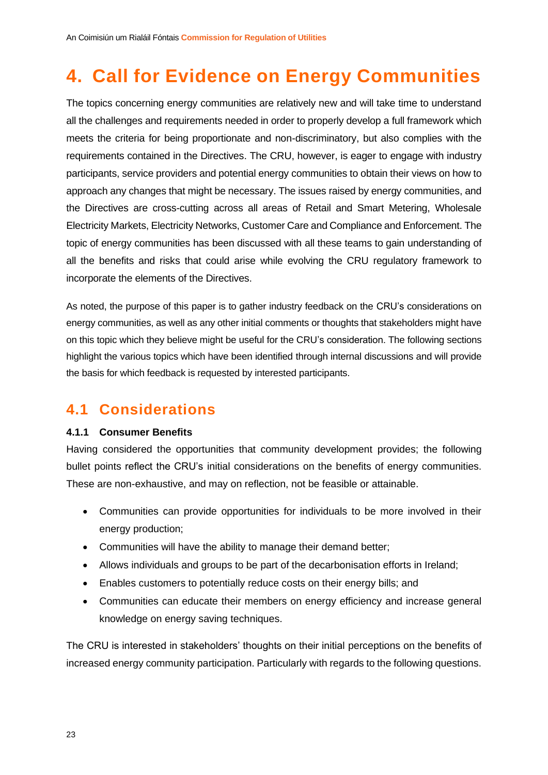## <span id="page-23-0"></span>**4. Call for Evidence on Energy Communities**

The topics concerning energy communities are relatively new and will take time to understand all the challenges and requirements needed in order to properly develop a full framework which meets the criteria for being proportionate and non-discriminatory, but also complies with the requirements contained in the Directives. The CRU, however, is eager to engage with industry participants, service providers and potential energy communities to obtain their views on how to approach any changes that might be necessary. The issues raised by energy communities, and the Directives are cross-cutting across all areas of Retail and Smart Metering, Wholesale Electricity Markets, Electricity Networks, Customer Care and Compliance and Enforcement. The topic of energy communities has been discussed with all these teams to gain understanding of all the benefits and risks that could arise while evolving the CRU regulatory framework to incorporate the elements of the Directives.

As noted, the purpose of this paper is to gather industry feedback on the CRU's considerations on energy communities, as well as any other initial comments or thoughts that stakeholders might have on this topic which they believe might be useful for the CRU's consideration. The following sections highlight the various topics which have been identified through internal discussions and will provide the basis for which feedback is requested by interested participants.

## <span id="page-23-1"></span>**4.1 Considerations**

#### <span id="page-23-2"></span>**4.1.1 Consumer Benefits**

Having considered the opportunities that community development provides; the following bullet points reflect the CRU's initial considerations on the benefits of energy communities. These are non-exhaustive, and may on reflection, not be feasible or attainable.

- Communities can provide opportunities for individuals to be more involved in their energy production;
- Communities will have the ability to manage their demand better;
- Allows individuals and groups to be part of the decarbonisation efforts in Ireland;
- Enables customers to potentially reduce costs on their energy bills; and
- Communities can educate their members on energy efficiency and increase general knowledge on energy saving techniques.

The CRU is interested in stakeholders' thoughts on their initial perceptions on the benefits of increased energy community participation. Particularly with regards to the following questions.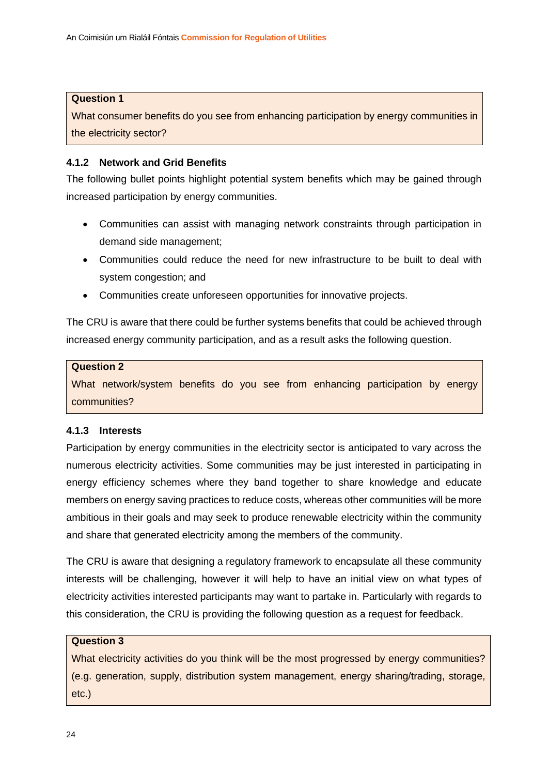#### **Question 1**

What consumer benefits do you see from enhancing participation by energy communities in the electricity sector?

#### <span id="page-24-0"></span>**4.1.2 Network and Grid Benefits**

The following bullet points highlight potential system benefits which may be gained through increased participation by energy communities.

- Communities can assist with managing network constraints through participation in demand side management;
- Communities could reduce the need for new infrastructure to be built to deal with system congestion; and
- Communities create unforeseen opportunities for innovative projects.

The CRU is aware that there could be further systems benefits that could be achieved through increased energy community participation, and as a result asks the following question.

#### **Question 2**

What network/system benefits do you see from enhancing participation by energy communities?

#### <span id="page-24-1"></span>**4.1.3 Interests**

Participation by energy communities in the electricity sector is anticipated to vary across the numerous electricity activities. Some communities may be just interested in participating in energy efficiency schemes where they band together to share knowledge and educate members on energy saving practices to reduce costs, whereas other communities will be more ambitious in their goals and may seek to produce renewable electricity within the community and share that generated electricity among the members of the community.

The CRU is aware that designing a regulatory framework to encapsulate all these community interests will be challenging, however it will help to have an initial view on what types of electricity activities interested participants may want to partake in. Particularly with regards to this consideration, the CRU is providing the following question as a request for feedback.

#### **Question 3**

What electricity activities do you think will be the most progressed by energy communities? (e.g. generation, supply, distribution system management, energy sharing/trading, storage, etc.)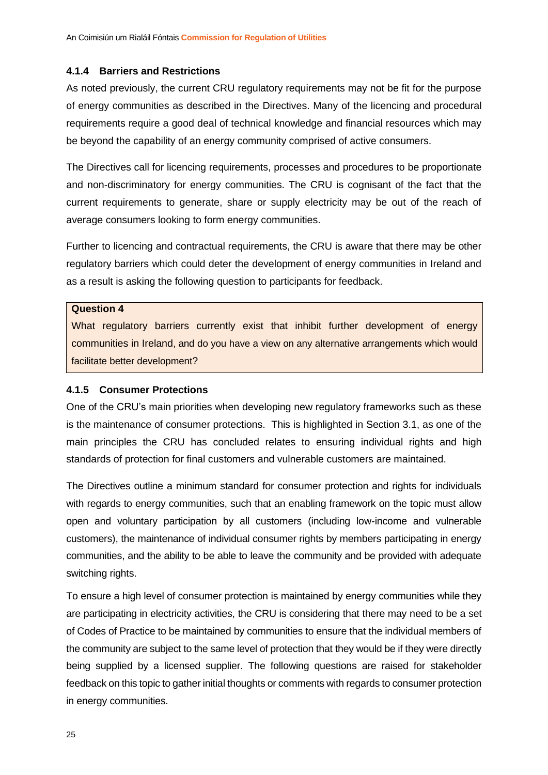#### <span id="page-25-0"></span>**4.1.4 Barriers and Restrictions**

As noted previously, the current CRU regulatory requirements may not be fit for the purpose of energy communities as described in the Directives. Many of the licencing and procedural requirements require a good deal of technical knowledge and financial resources which may be beyond the capability of an energy community comprised of active consumers.

The Directives call for licencing requirements, processes and procedures to be proportionate and non-discriminatory for energy communities. The CRU is cognisant of the fact that the current requirements to generate, share or supply electricity may be out of the reach of average consumers looking to form energy communities.

Further to licencing and contractual requirements, the CRU is aware that there may be other regulatory barriers which could deter the development of energy communities in Ireland and as a result is asking the following question to participants for feedback.

#### **Question 4**

What regulatory barriers currently exist that inhibit further development of energy communities in Ireland, and do you have a view on any alternative arrangements which would facilitate better development?

#### <span id="page-25-1"></span>**4.1.5 Consumer Protections**

One of the CRU's main priorities when developing new regulatory frameworks such as these is the maintenance of consumer protections. This is highlighted in Section 3.1, as one of the main principles the CRU has concluded relates to ensuring individual rights and high standards of protection for final customers and vulnerable customers are maintained.

The Directives outline a minimum standard for consumer protection and rights for individuals with regards to energy communities, such that an enabling framework on the topic must allow open and voluntary participation by all customers (including low-income and vulnerable customers), the maintenance of individual consumer rights by members participating in energy communities, and the ability to be able to leave the community and be provided with adequate switching rights.

To ensure a high level of consumer protection is maintained by energy communities while they are participating in electricity activities, the CRU is considering that there may need to be a set of Codes of Practice to be maintained by communities to ensure that the individual members of the community are subject to the same level of protection that they would be if they were directly being supplied by a licensed supplier. The following questions are raised for stakeholder feedback on this topic to gather initial thoughts or comments with regards to consumer protection in energy communities.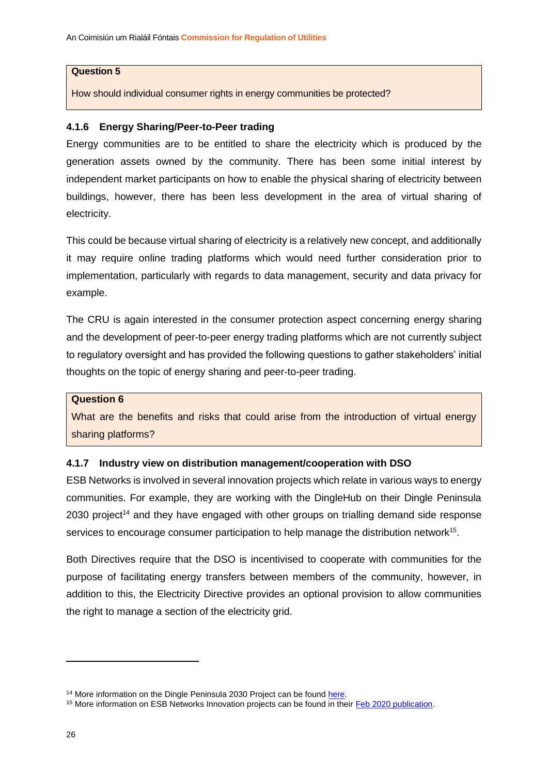#### **Question 5**

How should individual consumer rights in energy communities be protected?

#### <span id="page-26-0"></span>**4.1.6 Energy Sharing/Peer-to-Peer trading**

Energy communities are to be entitled to share the electricity which is produced by the generation assets owned by the community. There has been some initial interest by independent market participants on how to enable the physical sharing of electricity between buildings, however, there has been less development in the area of virtual sharing of electricity.

This could be because virtual sharing of electricity is a relatively new concept, and additionally it may require online trading platforms which would need further consideration prior to implementation, particularly with regards to data management, security and data privacy for example.

The CRU is again interested in the consumer protection aspect concerning energy sharing and the development of peer-to-peer energy trading platforms which are not currently subject to regulatory oversight and has provided the following questions to gather stakeholders' initial thoughts on the topic of energy sharing and peer-to-peer trading.

#### **Question 6**

What are the benefits and risks that could arise from the introduction of virtual energy sharing platforms?

#### <span id="page-26-1"></span>**4.1.7 Industry view on distribution management/cooperation with DSO**

ESB Networks is involved in several innovation projects which relate in various ways to energy communities. For example, they are working with the DingleHub on their Dingle Peninsula  $2030$  project<sup>14</sup> and they have engaged with other groups on trialling demand side response services to encourage consumer participation to help manage the distribution network<sup>15</sup>.

Both Directives require that the DSO is incentivised to cooperate with communities for the purpose of facilitating energy transfers between members of the community, however, in addition to this, the Electricity Directive provides an optional provision to allow communities the right to manage a section of the electricity grid.

<sup>&</sup>lt;sup>14</sup> More information on the Dingle Peninsula 2030 Project can be foun[d here.](https://www.esbnetworks.ie/who-we-are/innovation/ireland)

<sup>&</sup>lt;sup>15</sup> More information on ESB Networks Innovation projects can be found in their [Feb 2020 publication.](https://www.esbnetworks.ie/docs/default-source/publications/2020_feb_innovation-for-the-network-of-the-future-updated.pdf?sfvrsn=481e06f0_8)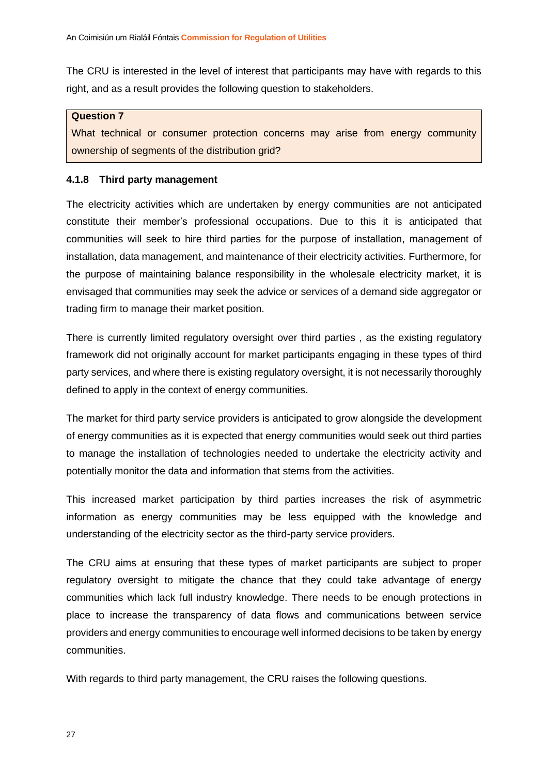The CRU is interested in the level of interest that participants may have with regards to this right, and as a result provides the following question to stakeholders.

#### **Question 7**

What technical or consumer protection concerns may arise from energy community ownership of segments of the distribution grid?

#### <span id="page-27-0"></span>**4.1.8 Third party management**

The electricity activities which are undertaken by energy communities are not anticipated constitute their member's professional occupations. Due to this it is anticipated that communities will seek to hire third parties for the purpose of installation, management of installation, data management, and maintenance of their electricity activities. Furthermore, for the purpose of maintaining balance responsibility in the wholesale electricity market, it is envisaged that communities may seek the advice or services of a demand side aggregator or trading firm to manage their market position.

There is currently limited regulatory oversight over third parties , as the existing regulatory framework did not originally account for market participants engaging in these types of third party services, and where there is existing regulatory oversight, it is not necessarily thoroughly defined to apply in the context of energy communities.

The market for third party service providers is anticipated to grow alongside the development of energy communities as it is expected that energy communities would seek out third parties to manage the installation of technologies needed to undertake the electricity activity and potentially monitor the data and information that stems from the activities.

This increased market participation by third parties increases the risk of asymmetric information as energy communities may be less equipped with the knowledge and understanding of the electricity sector as the third-party service providers.

The CRU aims at ensuring that these types of market participants are subject to proper regulatory oversight to mitigate the chance that they could take advantage of energy communities which lack full industry knowledge. There needs to be enough protections in place to increase the transparency of data flows and communications between service providers and energy communities to encourage well informed decisions to be taken by energy communities.

With regards to third party management, the CRU raises the following questions.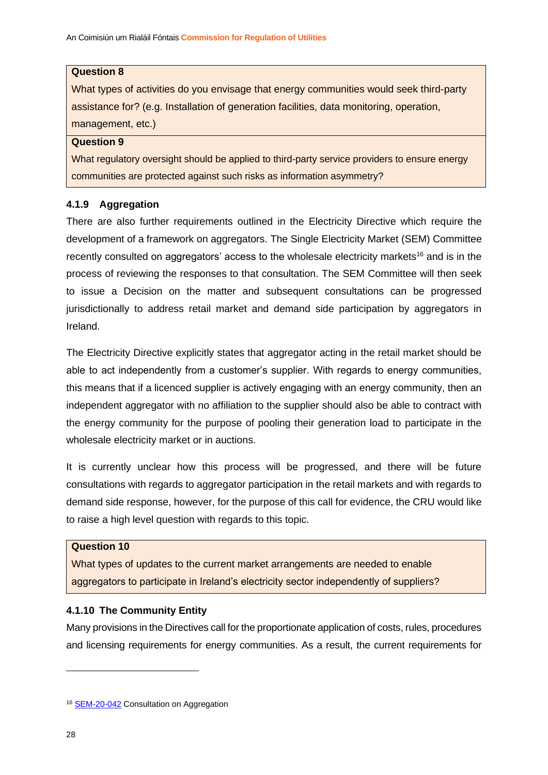#### **Question 8**

What types of activities do you envisage that energy communities would seek third-party assistance for? (e.g. Installation of generation facilities, data monitoring, operation, management, etc.)

#### **Question 9**

What regulatory oversight should be applied to third-party service providers to ensure energy communities are protected against such risks as information asymmetry?

#### <span id="page-28-0"></span>**4.1.9 Aggregation**

There are also further requirements outlined in the Electricity Directive which require the development of a framework on aggregators. The Single Electricity Market (SEM) Committee recently consulted on aggregators' access to the wholesale electricity markets<sup>16</sup> and is in the process of reviewing the responses to that consultation. The SEM Committee will then seek to issue a Decision on the matter and subsequent consultations can be progressed jurisdictionally to address retail market and demand side participation by aggregators in Ireland.

The Electricity Directive explicitly states that aggregator acting in the retail market should be able to act independently from a customer's supplier. With regards to energy communities, this means that if a licenced supplier is actively engaging with an energy community, then an independent aggregator with no affiliation to the supplier should also be able to contract with the energy community for the purpose of pooling their generation load to participate in the wholesale electricity market or in auctions.

It is currently unclear how this process will be progressed, and there will be future consultations with regards to aggregator participation in the retail markets and with regards to demand side response, however, for the purpose of this call for evidence, the CRU would like to raise a high level question with regards to this topic.

#### **Question 10**

What types of updates to the current market arrangements are needed to enable aggregators to participate in Ireland's electricity sector independently of suppliers?

#### <span id="page-28-1"></span>**4.1.10 The Community Entity**

Many provisions in the Directives call for the proportionate application of costs, rules, procedures and licensing requirements for energy communities. As a result, the current requirements for

<sup>&</sup>lt;sup>16</sup> [SEM-20-042](https://www.semcommittee.com/sites/semc/files/media-files/SEM-20-042_Consultation_on_Aggregation.pdf) Consultation on Aggregation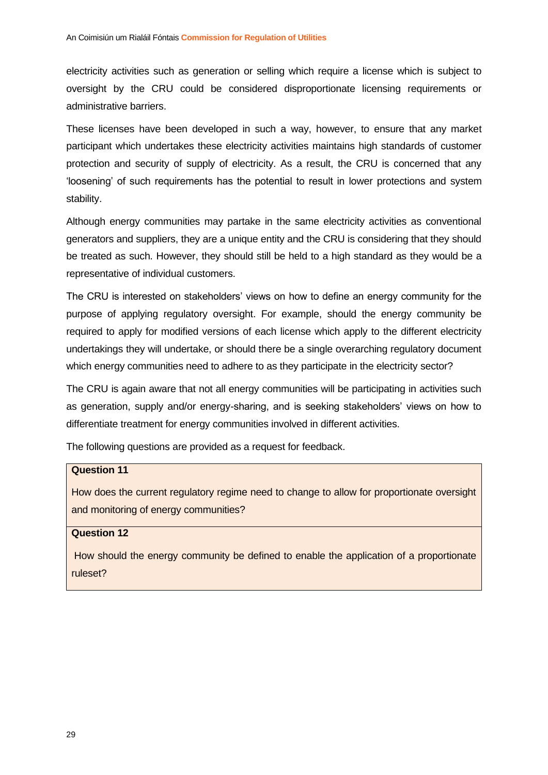electricity activities such as generation or selling which require a license which is subject to oversight by the CRU could be considered disproportionate licensing requirements or administrative barriers.

These licenses have been developed in such a way, however, to ensure that any market participant which undertakes these electricity activities maintains high standards of customer protection and security of supply of electricity. As a result, the CRU is concerned that any 'loosening' of such requirements has the potential to result in lower protections and system stability.

Although energy communities may partake in the same electricity activities as conventional generators and suppliers, they are a unique entity and the CRU is considering that they should be treated as such. However, they should still be held to a high standard as they would be a representative of individual customers.

The CRU is interested on stakeholders' views on how to define an energy community for the purpose of applying regulatory oversight. For example, should the energy community be required to apply for modified versions of each license which apply to the different electricity undertakings they will undertake, or should there be a single overarching regulatory document which energy communities need to adhere to as they participate in the electricity sector?

The CRU is again aware that not all energy communities will be participating in activities such as generation, supply and/or energy-sharing, and is seeking stakeholders' views on how to differentiate treatment for energy communities involved in different activities.

The following questions are provided as a request for feedback.

#### **Question 11**

How does the current regulatory regime need to change to allow for proportionate oversight and monitoring of energy communities?

#### **Question 12**

How should the energy community be defined to enable the application of a proportionate ruleset?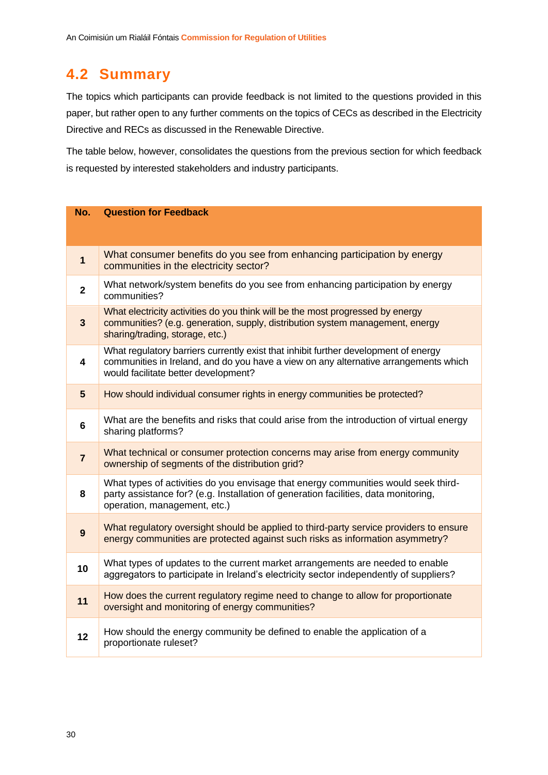## <span id="page-30-0"></span>**4.2 Summary**

The topics which participants can provide feedback is not limited to the questions provided in this paper, but rather open to any further comments on the topics of CECs as described in the Electricity Directive and RECs as discussed in the Renewable Directive.

The table below, however, consolidates the questions from the previous section for which feedback is requested by interested stakeholders and industry participants.

| No.            | <b>Question for Feedback</b>                                                                                                                                                                                        |
|----------------|---------------------------------------------------------------------------------------------------------------------------------------------------------------------------------------------------------------------|
|                |                                                                                                                                                                                                                     |
| $\overline{1}$ | What consumer benefits do you see from enhancing participation by energy<br>communities in the electricity sector?                                                                                                  |
| $\mathbf{2}$   | What network/system benefits do you see from enhancing participation by energy<br>communities?                                                                                                                      |
| $\mathbf{3}$   | What electricity activities do you think will be the most progressed by energy<br>communities? (e.g. generation, supply, distribution system management, energy<br>sharing/trading, storage, etc.)                  |
| 4              | What regulatory barriers currently exist that inhibit further development of energy<br>communities in Ireland, and do you have a view on any alternative arrangements which<br>would facilitate better development? |
| $5\phantom{1}$ | How should individual consumer rights in energy communities be protected?                                                                                                                                           |
| 6              | What are the benefits and risks that could arise from the introduction of virtual energy<br>sharing platforms?                                                                                                      |
| $\overline{7}$ | What technical or consumer protection concerns may arise from energy community<br>ownership of segments of the distribution grid?                                                                                   |
| 8              | What types of activities do you envisage that energy communities would seek third-<br>party assistance for? (e.g. Installation of generation facilities, data monitoring,<br>operation, management, etc.)           |
| 9              | What regulatory oversight should be applied to third-party service providers to ensure<br>energy communities are protected against such risks as information asymmetry?                                             |
| 10             | What types of updates to the current market arrangements are needed to enable<br>aggregators to participate in Ireland's electricity sector independently of suppliers?                                             |
| 11             | How does the current regulatory regime need to change to allow for proportionate<br>oversight and monitoring of energy communities?                                                                                 |
| 12             | How should the energy community be defined to enable the application of a<br>proportionate ruleset?                                                                                                                 |